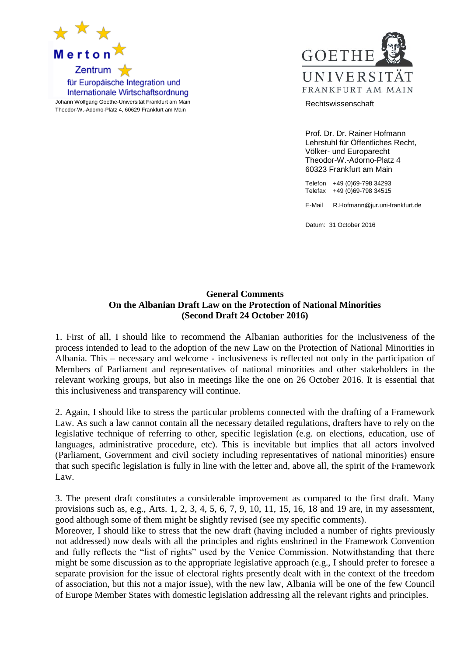



Prof. Dr. Dr. Rainer Hofmann Lehrstuhl für Öffentliches Recht, Völker- und Europarecht Theodor-W.-Adorno-Platz 4

60323 Frankfurt am Main

Telefon +49 (0)69-798 34293 Telefax +49 (0)69-798 34515

E-Mail R.Hofmann@jur.uni-frankfurt.de

Datum: 31 October 2016

## **General Comments On the Albanian Draft Law on the Protection of National Minorities (Second Draft 24 October 2016)**

1. First of all, I should like to recommend the Albanian authorities for the inclusiveness of the process intended to lead to the adoption of the new Law on the Protection of National Minorities in Albania. This – necessary and welcome - inclusiveness is reflected not only in the participation of Members of Parliament and representatives of national minorities and other stakeholders in the relevant working groups, but also in meetings like the one on 26 October 2016. It is essential that this inclusiveness and transparency will continue.

2. Again, I should like to stress the particular problems connected with the drafting of a Framework Law. As such a law cannot contain all the necessary detailed regulations, drafters have to rely on the legislative technique of referring to other, specific legislation (e.g. on elections, education, use of languages, administrative procedure, etc). This is inevitable but implies that all actors involved (Parliament, Government and civil society including representatives of national minorities) ensure that such specific legislation is fully in line with the letter and, above all, the spirit of the Framework Law.

3. The present draft constitutes a considerable improvement as compared to the first draft. Many provisions such as, e.g., Arts. 1, 2, 3, 4, 5, 6, 7, 9, 10, 11, 15, 16, 18 and 19 are, in my assessment, good although some of them might be slightly revised (see my specific comments).

Moreover, I should like to stress that the new draft (having included a number of rights previously not addressed) now deals with all the principles and rights enshrined in the Framework Convention and fully reflects the "list of rights" used by the Venice Commission. Notwithstanding that there might be some discussion as to the appropriate legislative approach (e.g., I should prefer to foresee a separate provision for the issue of electoral rights presently dealt with in the context of the freedom of association, but this not a major issue), with the new law, Albania will be one of the few Council of Europe Member States with domestic legislation addressing all the relevant rights and principles.